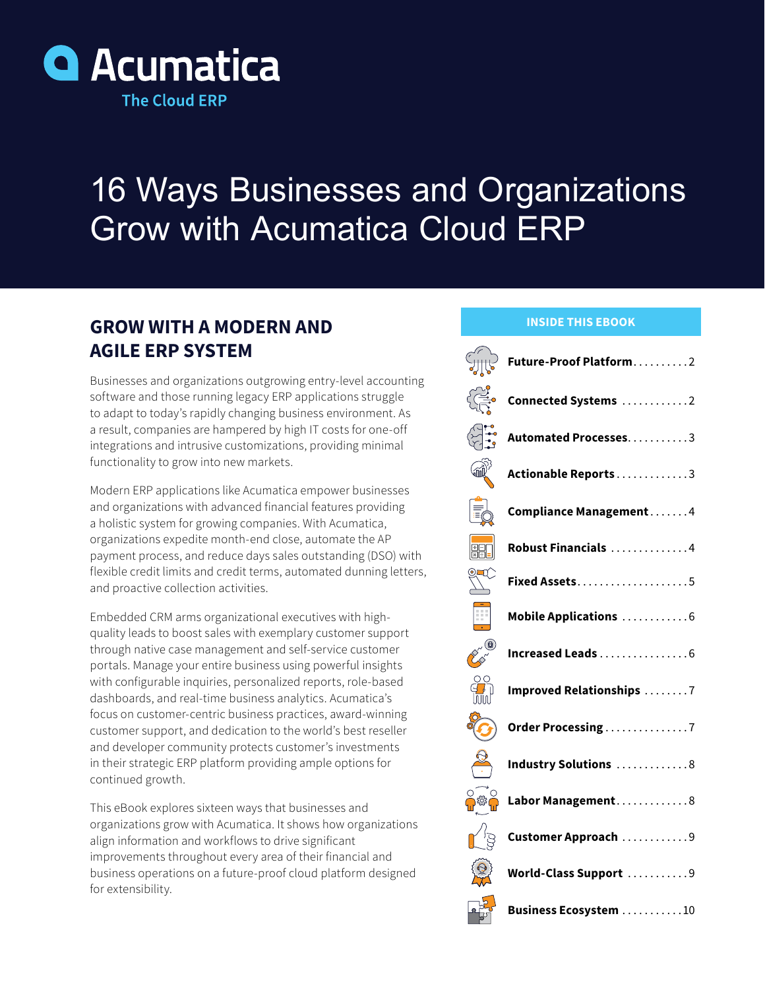

# 16 Ways Businesses and Organizations Grow with Acumatica Cloud ERP

### **GROW WITH A MODERN AND AGILE ERP SYSTEM**

Businesses and organizations outgrowing entry-level accounting software and those running legacy ERP applications struggle to adapt to today's rapidly changing business environment. As a result, companies are hampered by high IT costs for one-off integrations and intrusive customizations, providing minimal functionality to grow into new markets.

Modern ERP applications like Acumatica empower businesses and organizations with advanced financial features providing a holistic system for growing companies. With Acumatica, organizations expedite month-end close, automate the AP payment process, and reduce days sales outstanding (DSO) with flexible credit limits and credit terms, automated dunning letters, and proactive collection activities.

Embedded CRM arms organizational executives with highquality leads to boost sales with exemplary customer support through native case management and self-service customer portals. Manage your entire business using powerful insights with configurable inquiries, personalized reports, role-based dashboards, and real-time business analytics. Acumatica's focus on customer-centric business practices, award-winning customer support, and dedication to the world's best reseller and developer community protects customer's investments in their strategic ERP platform providing ample options for continued growth.

This eBook explores sixteen ways that businesses and organizations grow with Acumatica. It shows how organizations align information and workflows to drive significant improvements throughout every area of their financial and business operations on a future-proof cloud platform designed for extensibility.

#### **INSIDE THIS EBOOK**

|                                                                       | $\text{Supp}\atop{\text{supp}}$ Future-Proof Platform2                                                                |
|-----------------------------------------------------------------------|-----------------------------------------------------------------------------------------------------------------------|
|                                                                       | $\widetilde{\widetilde{C_{\widetilde{\Gamma}\Gamma^{\bullet}}}^2}$ Connected Systems $\ldots\ldots\ldots\ldots\ldots$ |
|                                                                       | <b>Automated Processes.</b> 3                                                                                         |
| $\mathbb{R}^3$                                                        | Actionable Reports3                                                                                                   |
| E0                                                                    | Compliance Management4                                                                                                |
| FI                                                                    | Robust Financials 4                                                                                                   |
| $\sum_{i=1}^{n}$                                                      | Fixed Assets5                                                                                                         |
| 丽                                                                     | Mobile Applications 6                                                                                                 |
| Control B                                                             | Increased Leads 6                                                                                                     |
| $\frac{30}{100}$                                                      | <b>Improved Relationships</b> 7                                                                                       |
|                                                                       | $\delta$ Order Processing 7                                                                                           |
| $\frac{1}{\sqrt{2}}$                                                  | Industry Solutions 8                                                                                                  |
|                                                                       | ြွ <sup>ွ</sup> ် Labor Management 8                                                                                  |
|                                                                       | $\textbf{C}$ Customer Approach 9                                                                                      |
| $\left\{\begin{matrix} \mathbb{Q} \\ \mathbb{Q} \end{matrix}\right\}$ | World-Class Support 9                                                                                                 |
|                                                                       |                                                                                                                       |

 $\frac{1}{2}$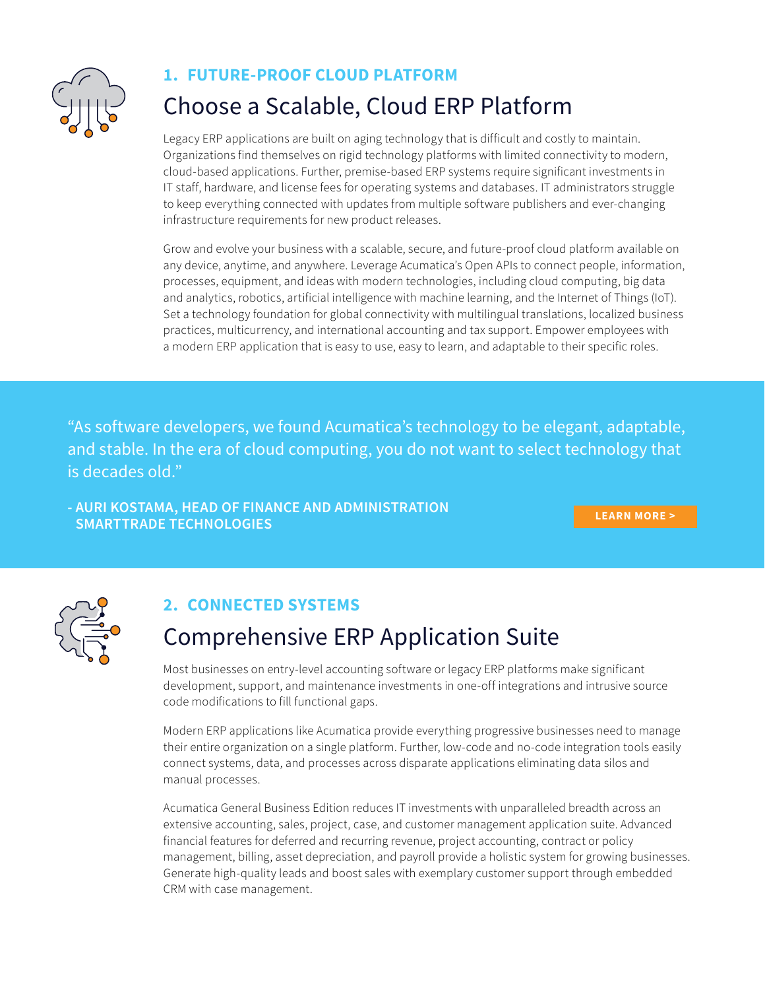<span id="page-1-0"></span>

#### **1. FUTURE-PROOF CLOUD PLATFORM**

## Choose a Scalable, Cloud ERP Platform

Legacy ERP applications are built on aging technology that is difficult and costly to maintain. Organizations find themselves on rigid technology platforms with limited connectivity to modern, cloud-based applications. Further, premise-based ERP systems require significant investments in IT staff, hardware, and license fees for operating systems and databases. IT administrators struggle to keep everything connected with updates from multiple software publishers and ever-changing infrastructure requirements for new product releases.

Grow and evolve your business with a scalable, secure, and future-proof cloud platform available on any device, anytime, and anywhere. Leverage Acumatica's Open APIs to connect people, information, processes, equipment, and ideas with modern technologies, including cloud computing, big data and analytics, robotics, artificial intelligence with machine learning, and the Internet of Things (IoT). Set a technology foundation for global connectivity with multilingual translations, localized business practices, multicurrency, and international accounting and tax support. Empower employees with a modern ERP application that is easy to use, easy to learn, and adaptable to their specific roles.

"As software developers, we found Acumatica's technology to be elegant, adaptable, and stable. In the era of cloud computing, you do not want to select technology that is decades old."

**- AURI KOSTAMA, HEAD OF FINANCE AND ADMINISTRATION SMARTTRADE TECHNOLOGIES [LEARN MORE >](https://www.acumatica.com/success-stories/erp-system-for-smarttrade-technologies/)**



### **2. CONNECTED SYSTEMS**

### Comprehensive ERP Application Suite

Most businesses on entry-level accounting software or legacy ERP platforms make significant development, support, and maintenance investments in one-off integrations and intrusive source code modifications to fill functional gaps.

Modern ERP applications like Acumatica provide everything progressive businesses need to manage their entire organization on a single platform. Further, low-code and no-code integration tools easily connect systems, data, and processes across disparate applications eliminating data silos and manual processes.

Acumatica General Business Edition reduces IT investments with unparalleled breadth across an extensive accounting, sales, project, case, and customer management application suite. Advanced financial features for deferred and recurring revenue, project accounting, contract or policy management, billing, asset depreciation, and payroll provide a holistic system for growing businesses. Generate high-quality leads and boost sales with exemplary customer support through embedded CRM with case management.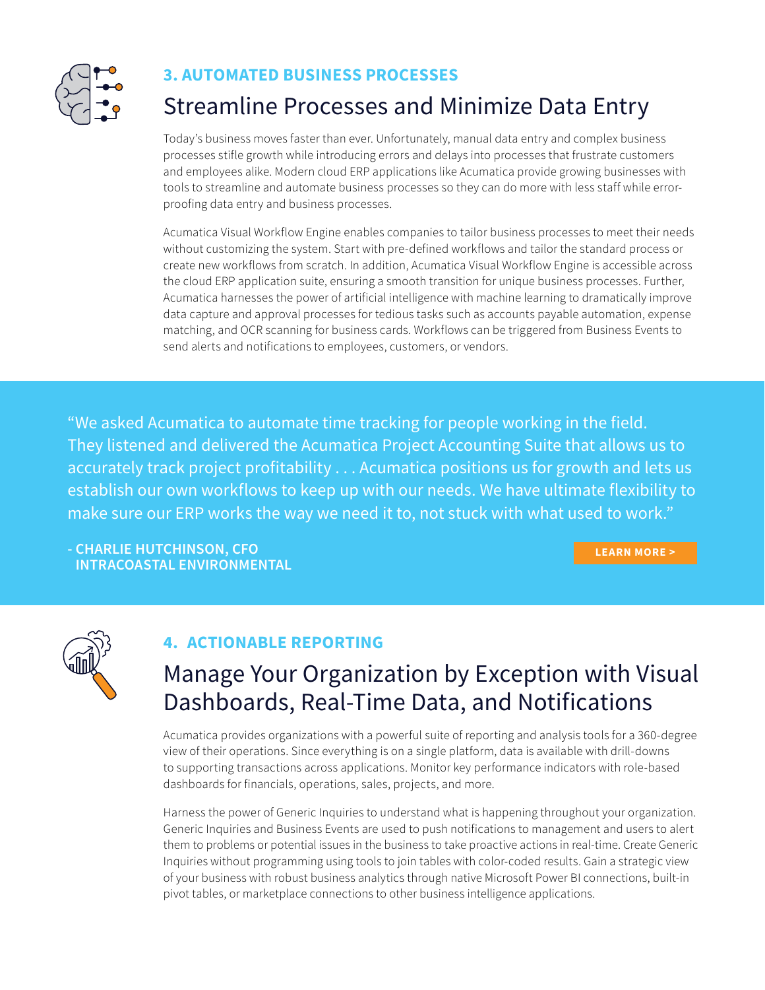<span id="page-2-0"></span>

#### **3. AUTOMATED BUSINESS PROCESSES**

### Streamline Processes and Minimize Data Entry

Today's business moves faster than ever. Unfortunately, manual data entry and complex business processes stifle growth while introducing errors and delays into processes that frustrate customers and employees alike. Modern cloud ERP applications like Acumatica provide growing businesses with tools to streamline and automate business processes so they can do more with less staff while errorproofing data entry and business processes.

Acumatica Visual Workflow Engine enables companies to tailor business processes to meet their needs without customizing the system. Start with pre-defined workflows and tailor the standard process or create new workflows from scratch. In addition, Acumatica Visual Workflow Engine is accessible across the cloud ERP application suite, ensuring a smooth transition for unique business processes. Further, Acumatica harnesses the power of artificial intelligence with machine learning to dramatically improve data capture and approval processes for tedious tasks such as accounts payable automation, expense matching, and OCR scanning for business cards. Workflows can be triggered from Business Events to send alerts and notifications to employees, customers, or vendors.

"We asked Acumatica to automate time tracking for people working in the field. They listened and delivered the Acumatica Project Accounting Suite that allows us to accurately track project profitability ... Acumatica positions us for growth and lets us establish our own workflows to keep up with our needs. We have ultimate flexibility to make sure our ERP works the way we need it to, not stuck with what used to work."

**- CHARLIE HUTCHINSON, CFO INTRACOASTAL ENVIRONMENTAL**

**[LEARN MORE >](https://www.acumatica.com/success-stories/erp-system-for-intracoastal-environmental/)**



#### **4. ACTIONABLE REPORTING**

## Manage Your Organization by Exception with Visual Dashboards, Real-Time Data, and Notifications

Acumatica provides organizations with a powerful suite of reporting and analysis tools for a 360-degree view of their operations. Since everything is on a single platform, data is available with drill-downs to supporting transactions across applications. Monitor key performance indicators with role-based dashboards for financials, operations, sales, projects, and more.

Harness the power of Generic Inquiries to understand what is happening throughout your organization. Generic Inquiries and Business Events are used to push notifications to management and users to alert them to problems or potential issues in the business to take proactive actions in real-time. Create Generic Inquiries without programming using tools to join tables with color-coded results. Gain a strategic view of your business with robust business analytics through native Microsoft Power BI connections, built-in pivot tables, or marketplace connections to other business intelligence applications.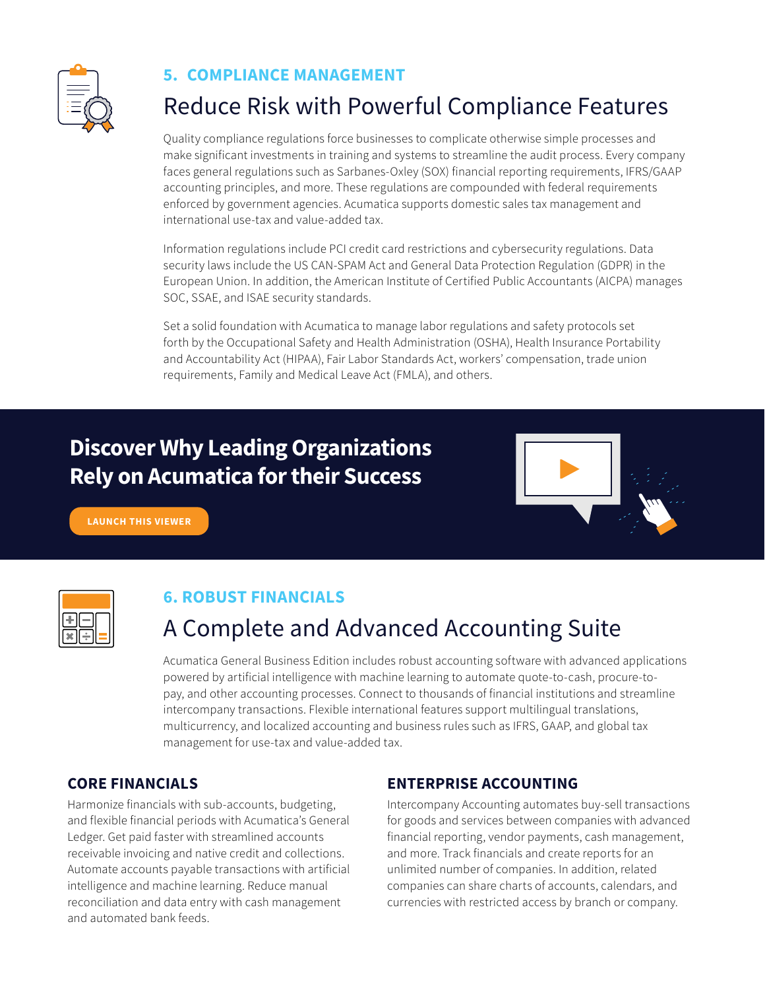<span id="page-3-0"></span>

#### **5. COMPLIANCE MANAGEMENT**

## Reduce Risk with Powerful Compliance Features

Quality compliance regulations force businesses to complicate otherwise simple processes and make significant investments in training and systems to streamline the audit process. Every company faces general regulations such as Sarbanes-Oxley (SOX) financial reporting requirements, IFRS/GAAP accounting principles, and more. These regulations are compounded with federal requirements enforced by government agencies. Acumatica supports domestic sales tax management and international use-tax and value-added tax.

Information regulations include PCI credit card restrictions and cybersecurity regulations. Data security laws include the US CAN-SPAM Act and General Data Protection Regulation (GDPR) in the European Union. In addition, the American Institute of Certified Public Accountants (AICPA) manages SOC, SSAE, and ISAE security standards.

Set a solid foundation with Acumatica to manage labor regulations and safety protocols set forth by the Occupational Safety and Health Administration (OSHA), Health Insurance Portability and Accountability Act (HIPAA), Fair Labor Standards Act, workers' compensation, trade union requirements, Family and Medical Leave Act (FMLA), and others.

### **[Discover Why Leading Organizations](https://www.acumatica.com/general-business-industries-rely-on-acumatica-for-their-success/) Rely on Acumatica for their Success**



**[LAUNCH THIS VIEWER](https://www.acumatica.com/general-business-industries-rely-on-acumatica-for-their-success/)**

### **6. ROBUST FINANCIALS**

## A Complete and Advanced Accounting Suite

Acumatica General Business Edition includes robust accounting software with advanced applications powered by artificial intelligence with machine learning to automate quote-to-cash, procure-topay, and other accounting processes. Connect to thousands of financial institutions and streamline intercompany transactions. Flexible international features support multilingual translations, multicurrency, and localized accounting and business rules such as IFRS, GAAP, and global tax management for use-tax and value-added tax.

#### **CORE FINANCIALS**

Harmonize financials with sub-accounts, budgeting, and flexible financial periods with Acumatica's General Ledger. Get paid faster with streamlined accounts receivable invoicing and native credit and collections. Automate accounts payable transactions with artificial intelligence and machine learning. Reduce manual reconciliation and data entry with cash management and automated bank feeds.

#### **ENTERPRISE ACCOUNTING**

Intercompany Accounting automates buy-sell transactions for goods and services between companies with advanced financial reporting, vendor payments, cash management, and more. Track financials and create reports for an unlimited number of companies. In addition, related companies can share charts of accounts, calendars, and currencies with restricted access by branch or company.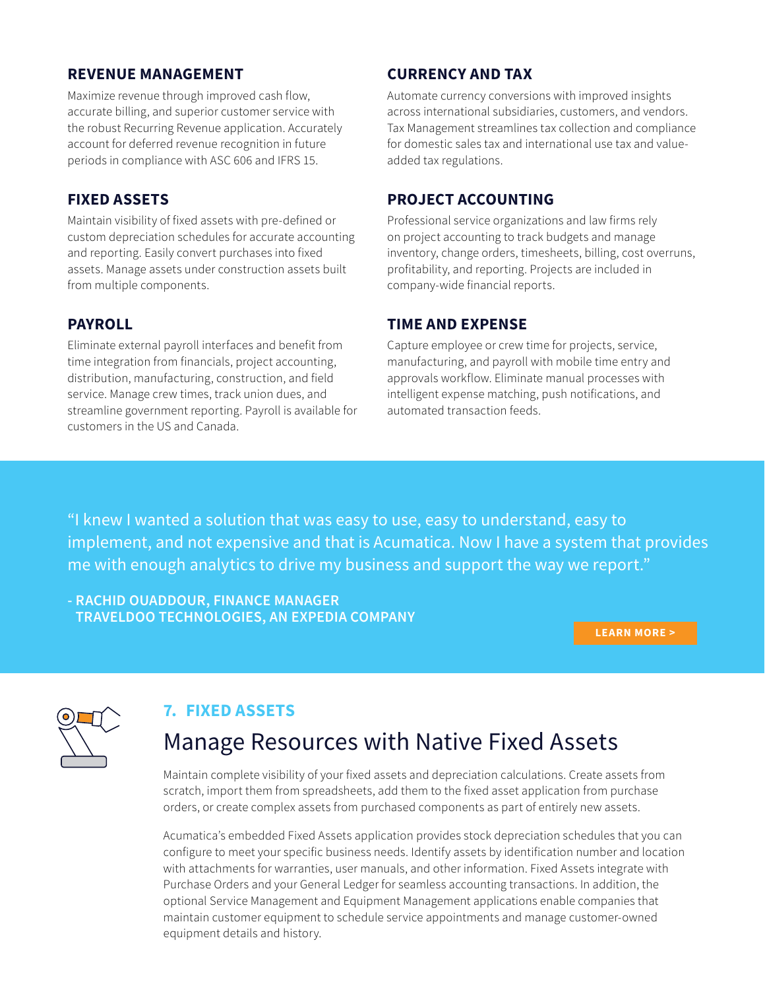#### <span id="page-4-0"></span>**REVENUE MANAGEMENT**

Maximize revenue through improved cash flow, accurate billing, and superior customer service with the robust Recurring Revenue application. Accurately account for deferred revenue recognition in future periods in compliance with ASC 606 and IFRS 15.

#### **FIXED ASSETS**

Maintain visibility of fixed assets with pre-defined or custom depreciation schedules for accurate accounting and reporting. Easily convert purchases into fixed assets. Manage assets under construction assets built from multiple components.

#### **PAYROLL**

Eliminate external payroll interfaces and benefit from time integration from financials, project accounting, distribution, manufacturing, construction, and field service. Manage crew times, track union dues, and streamline government reporting. Payroll is available for customers in the US and Canada.

#### **CURRENCY AND TAX**

Automate currency conversions with improved insights across international subsidiaries, customers, and vendors. Tax Management streamlines tax collection and compliance for domestic sales tax and international use tax and valueadded tax regulations.

#### **PROJECT ACCOUNTING**

Professional service organizations and law firms rely on project accounting to track budgets and manage inventory, change orders, timesheets, billing, cost overruns, profitability, and reporting. Projects are included in company-wide financial reports.

#### **TIME AND EXPENSE**

Capture employee or crew time for projects, service, manufacturing, and payroll with mobile time entry and approvals workflow. Eliminate manual processes with intelligent expense matching, push notifications, and automated transaction feeds.

"I knew I wanted a solution that was easy to use, easy to understand, easy to implement, and not expensive and that is Acumatica. Now I have a system that provides me with enough analytics to drive my business and support the way we report."

**- RACHID OUADDOUR, FINANCE MANAGER TRAVELDOO TECHNOLOGIES, AN EXPEDIA COMPANY**

**[LEARN MORE >](https://www.acumatica.com/success-stories/erp-system-for-traveldoo-technologies/)**



#### **7. FIXED ASSETS**

### Manage Resources with Native Fixed Assets

Maintain complete visibility of your fixed assets and depreciation calculations. Create assets from scratch, import them from spreadsheets, add them to the fixed asset application from purchase orders, or create complex assets from purchased components as part of entirely new assets.

Acumatica's embedded Fixed Assets application provides stock depreciation schedules that you can configure to meet your specific business needs. Identify assets by identification number and location with attachments for warranties, user manuals, and other information. Fixed Assets integrate with Purchase Orders and your General Ledger for seamless accounting transactions. In addition, the optional Service Management and Equipment Management applications enable companies that maintain customer equipment to schedule service appointments and manage customer-owned equipment details and history.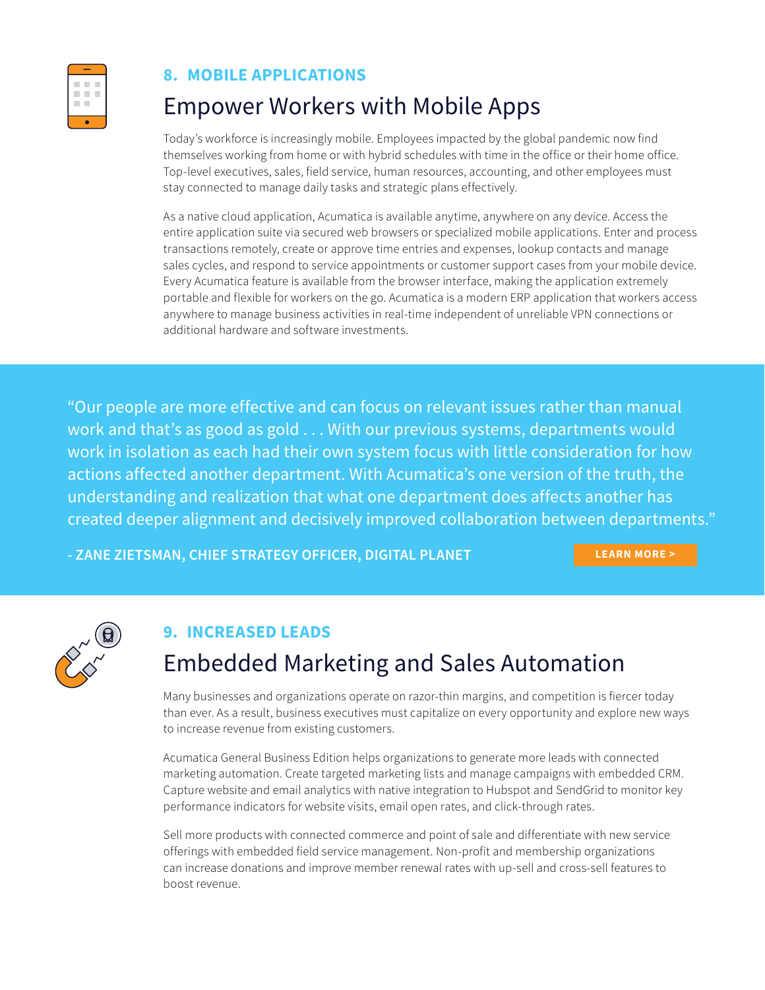<span id="page-5-0"></span>

#### **8. MOBILE APPLICATIONS**

### Empower Workers with Mobile Apps

Today's workforce is increasingly mobile. Employees impacted by the global pandemic now find themselves working from home or with hybrid schedules with time in the office or their home office. Top-level executives, sales, field service, human resources, accounting, and other employees must stay connected to manage daily tasks and strategic plans effectively.

As a native cloud application, Acumatica is available anytime, anywhere on any device. Access the entire application suite via secured web browsers or specialized mobile applications. Enter and process transactions remotely, create or approve time entries and expenses, lookup contacts and manage sales cycles, and respond to service appointments or customer support cases from your mobile device. Every Acumatica feature is available from the browser interface, making the application extremely portable and flexible for workers on the go. Acumatica is a modern ERP application that workers access anywhere to manage business activities in real-time independent of unreliable VPN connections or additional hardware and software investments.

"Our people are more effective and can focus on relevant issues rather than manual work and that's as good as gold ... With our previous systems, departments would work in isolation as each had their own system focus with little consideration for how actions affected another department. With Acumatica's one version of the truth, the understanding and realization that what one department does affects another has created deeper alignment and decisively improved collaboration between departments."

**- ZANE ZIETSMAN, CHIEF STRATEGY OFFICER, DIGITAL PLANET [LEARN MORE >](https://www.acumatica.com/success-stories/erp-system-for-digital-planet/)**



### **9. INCREASED LEADS**

## Embedded Marketing and Sales Automation

Many businesses and organizations operate on razor-thin margins, and competition is fiercer today than ever. As a result, business executives must capitalize on every opportunity and explore new ways to increase revenue from existing customers.

Acumatica General Business Edition helps organizations to generate more leads with connected marketing automation. Create targeted marketing lists and manage campaigns with embedded CRM. Capture website and email analytics with native integration to Hubspot and SendGrid to monitor key performance indicators for website visits, email open rates, and click-through rates.

Sell more products with connected commerce and point of sale and differentiate with new service offerings with embedded field service management. Non-profit and membership organizations can increase donations and improve member renewal rates with up-sell and cross-sell features to boost revenue.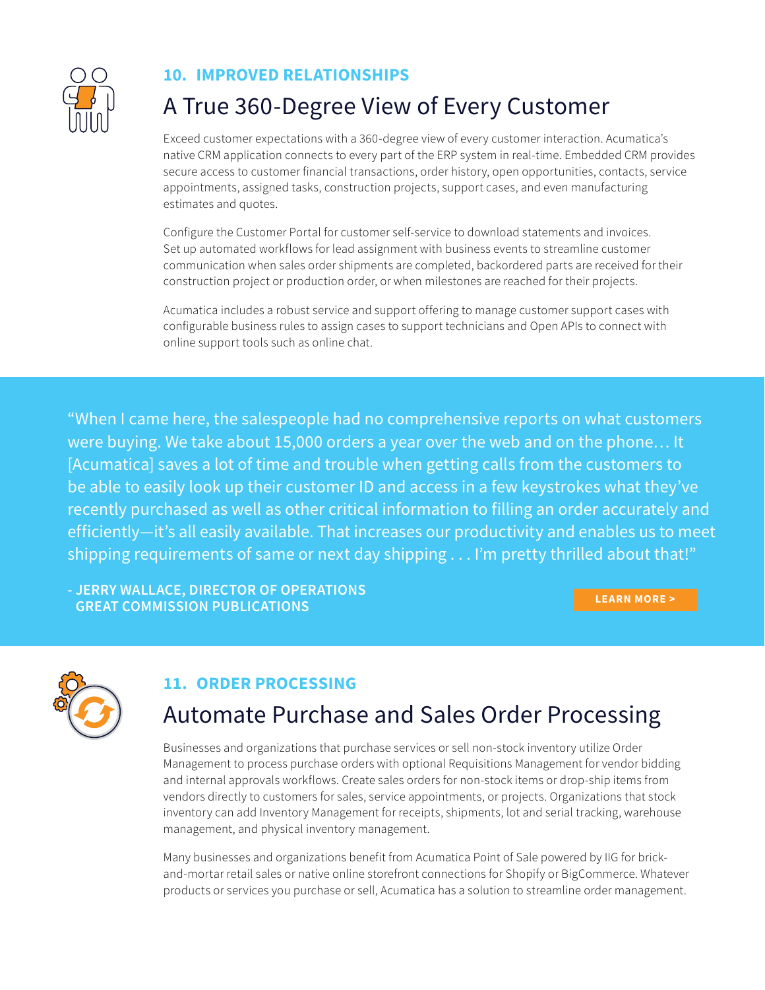<span id="page-6-0"></span>

#### **10. IMPROVED RELATIONSHIPS**

## A True 360-Degree View of Every Customer

Exceed customer expectations with a 360-degree view of every customer interaction. Acumatica's native CRM application connects to every part of the ERP system in real-time. Embedded CRM provides secure access to customer financial transactions, order history, open opportunities, contacts, service appointments, assigned tasks, construction projects, support cases, and even manufacturing estimates and quotes.

Configure the Customer Portal for customer self-service to download statements and invoices. Set up automated workflows for lead assignment with business events to streamline customer communication when sales order shipments are completed, backordered parts are received for their construction project or production order, or when milestones are reached for their projects.

Acumatica includes a robust service and support offering to manage customer support cases with configurable business rules to assign cases to support technicians and Open APIs to connect with online support tools such as online chat.

"When I came here, the salespeople had no comprehensive reports on what customers were buying. We take about 15,000 orders a year over the web and on the phone… It [Acumatica] saves a lot of time and trouble when getting calls from the customers to be able to easily look up their customer ID and access in a few keystrokes what they've recently purchased as well as other critical information to filling an order accurately and efficiently—it's all easily available. That increases our productivity and enables us to meet shipping requirements of same or next day shipping ... I'm pretty thrilled about that!"

**- JERRY WALLACE, DIRECTOR OF OPERATIONS GREAT COMMISSION PUBLICATIONS [LEARN MORE >](https://www.acumatica.com/success-stories/erp-system-for-great-commission-publications/)**



### **11. ORDER PROCESSING**

### Automate Purchase and Sales Order Processing

Businesses and organizations that purchase services or sell non-stock inventory utilize Order Management to process purchase orders with optional Requisitions Management for vendor bidding and internal approvals workflows. Create sales orders for non-stock items or drop-ship items from vendors directly to customers for sales, service appointments, or projects. Organizations that stock inventory can add Inventory Management for receipts, shipments, lot and serial tracking, warehouse management, and physical inventory management.

Many businesses and organizations benefit from Acumatica Point of Sale powered by IIG for brickand-mortar retail sales or native online storefront connections for Shopify or BigCommerce. Whatever products or services you purchase or sell, Acumatica has a solution to streamline order management.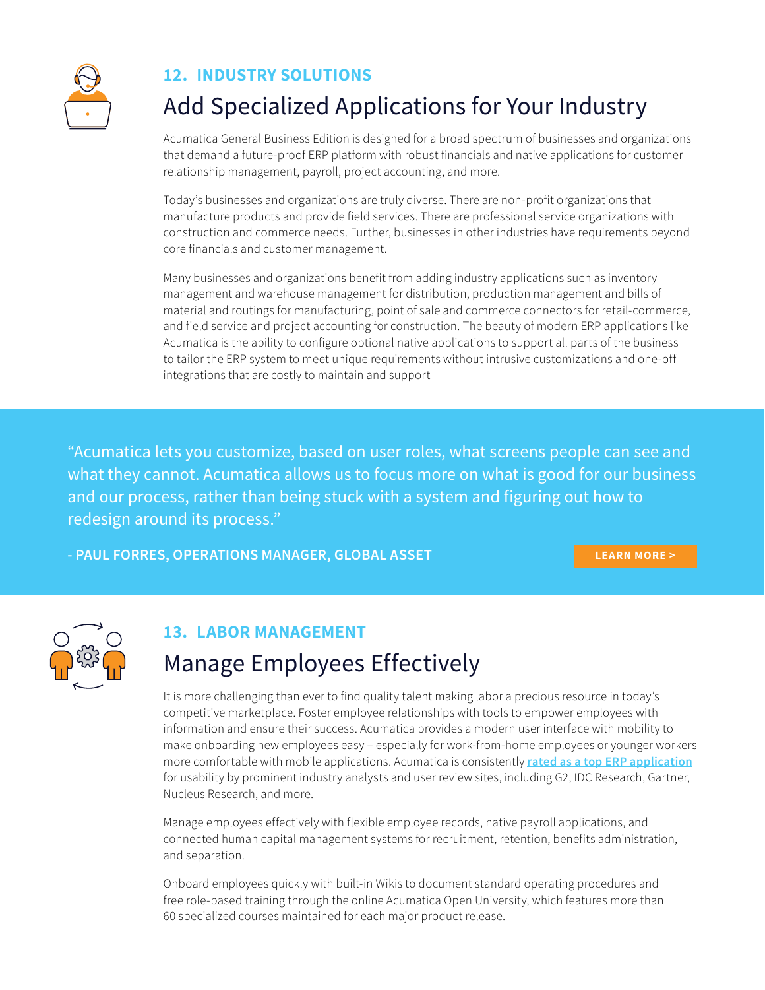<span id="page-7-0"></span>

### **12. INDUSTRY SOLUTIONS**

## Add Specialized Applications for Your Industry

Acumatica General Business Edition is designed for a broad spectrum of businesses and organizations that demand a future-proof ERP platform with robust financials and native applications for customer relationship management, payroll, project accounting, and more.

Today's businesses and organizations are truly diverse. There are non-profit organizations that manufacture products and provide field services. There are professional service organizations with construction and commerce needs. Further, businesses in other industries have requirements beyond core financials and customer management.

Many businesses and organizations benefit from adding industry applications such as inventory management and warehouse management for distribution, production management and bills of material and routings for manufacturing, point of sale and commerce connectors for retail-commerce, and field service and project accounting for construction. The beauty of modern ERP applications like Acumatica is the ability to configure optional native applications to support all parts of the business to tailor the ERP system to meet unique requirements without intrusive customizations and one-off integrations that are costly to maintain and support

"Acumatica lets you customize, based on user roles, what screens people can see and what they cannot. Acumatica allows us to focus more on what is good for our business and our process, rather than being stuck with a system and figuring out how to redesign around its process."

**- PAUL FORRES, OPERATIONS MANAGER, GLOBAL ASSET [LEARN MORE >](https://www.acumatica.com/success-stories/erp-system-for-global-asset/)**



### **13. LABOR MANAGEMENT**

## Manage Employees Effectively

It is more challenging than ever to find quality talent making labor a precious resource in today's competitive marketplace. Foster employee relationships with tools to empower employees with information and ensure their success. Acumatica provides a modern user interface with mobility to make onboarding new employees easy – especially for work-from-home employees or younger workers more comfortable with mobile applications. Acumatica is consistently **[rated as a top ERP application](https://www.acumatica.com/corporate-newsroom/awards-recognition/)** for usability by prominent industry analysts and user review sites, including G2, IDC Research, Gartner, Nucleus Research, and more.

Manage employees effectively with flexible employee records, native payroll applications, and connected human capital management systems for recruitment, retention, benefits administration, and separation.

Onboard employees quickly with built-in Wikis to document standard operating procedures and free role-based training through the online Acumatica Open University, which features more than 60 specialized courses maintained for each major product release.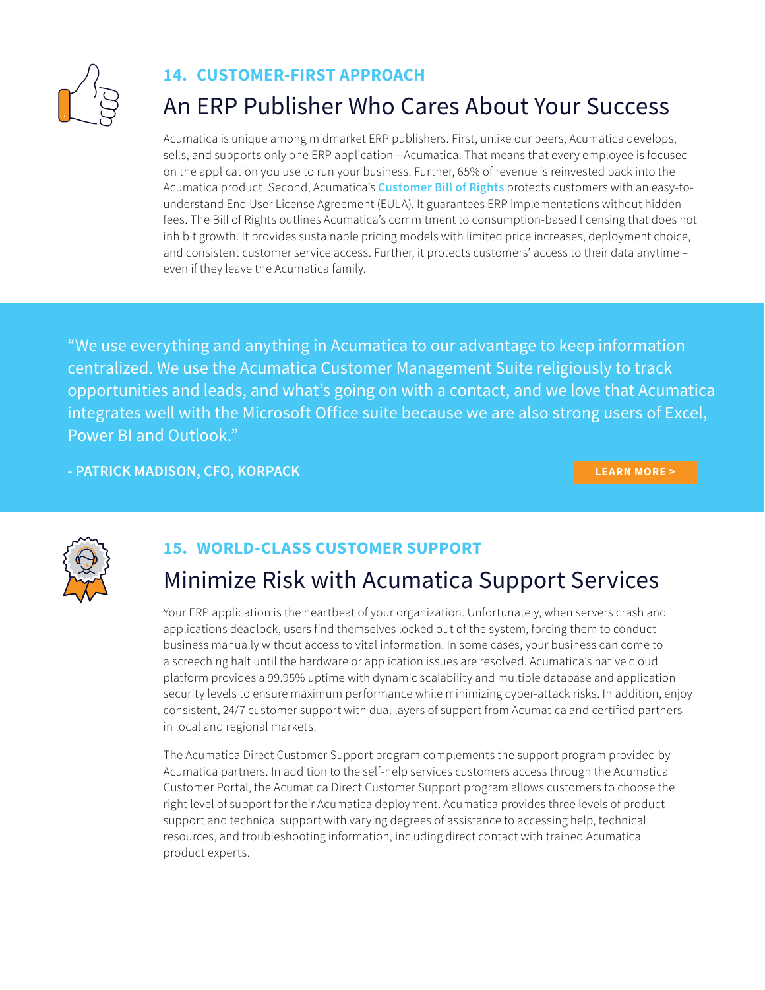<span id="page-8-0"></span>

#### **14. CUSTOMER-FIRST APPROACH**

### An ERP Publisher Who Cares About Your Success

Acumatica is unique among midmarket ERP publishers. First, unlike our peers, Acumatica develops, sells, and supports only one ERP application—Acumatica. That means that every employee is focused on the application you use to run your business. Further, 65% of revenue is reinvested back into the Acumatica product. Second, Acumatica's **[Customer Bill of Rights](https://www.acumatica.com/acumatica-customer-bill-of-rights/)** protects customers with an easy-tounderstand End User License Agreement (EULA). It guarantees ERP implementations without hidden fees. The Bill of Rights outlines Acumatica's commitment to consumption-based licensing that does not inhibit growth. It provides sustainable pricing models with limited price increases, deployment choice, and consistent customer service access. Further, it protects customers' access to their data anytime – even if they leave the Acumatica family.

"We use everything and anything in Acumatica to our advantage to keep information centralized. We use the Acumatica Customer Management Suite religiously to track opportunities and leads, and what's going on with a contact, and we love that Acumatica integrates well with the Microsoft Office suite because we are also strong users of Excel, Power BI and Outlook."

**- PATRICK MADISON, CFO, KORPACK [LEARN MORE >](https://www.acumatica.com/success-stories/erp-system-for-korpack/)**



### **15. WORLD-CLASS CUSTOMER SUPPORT**

### Minimize Risk with Acumatica Support Services

Your ERP application is the heartbeat of your organization. Unfortunately, when servers crash and applications deadlock, users find themselves locked out of the system, forcing them to conduct business manually without access to vital information. In some cases, your business can come to a screeching halt until the hardware or application issues are resolved. Acumatica's native cloud platform provides a 99.95% uptime with dynamic scalability and multiple database and application security levels to ensure maximum performance while minimizing cyber-attack risks. In addition, enjoy consistent, 24/7 customer support with dual layers of support from Acumatica and certified partners in local and regional markets.

The Acumatica Direct Customer Support program complements the support program provided by Acumatica partners. In addition to the self-help services customers access through the Acumatica Customer Portal, the Acumatica Direct Customer Support program allows customers to choose the right level of support for their Acumatica deployment. Acumatica provides three levels of product support and technical support with varying degrees of assistance to accessing help, technical resources, and troubleshooting information, including direct contact with trained Acumatica product experts.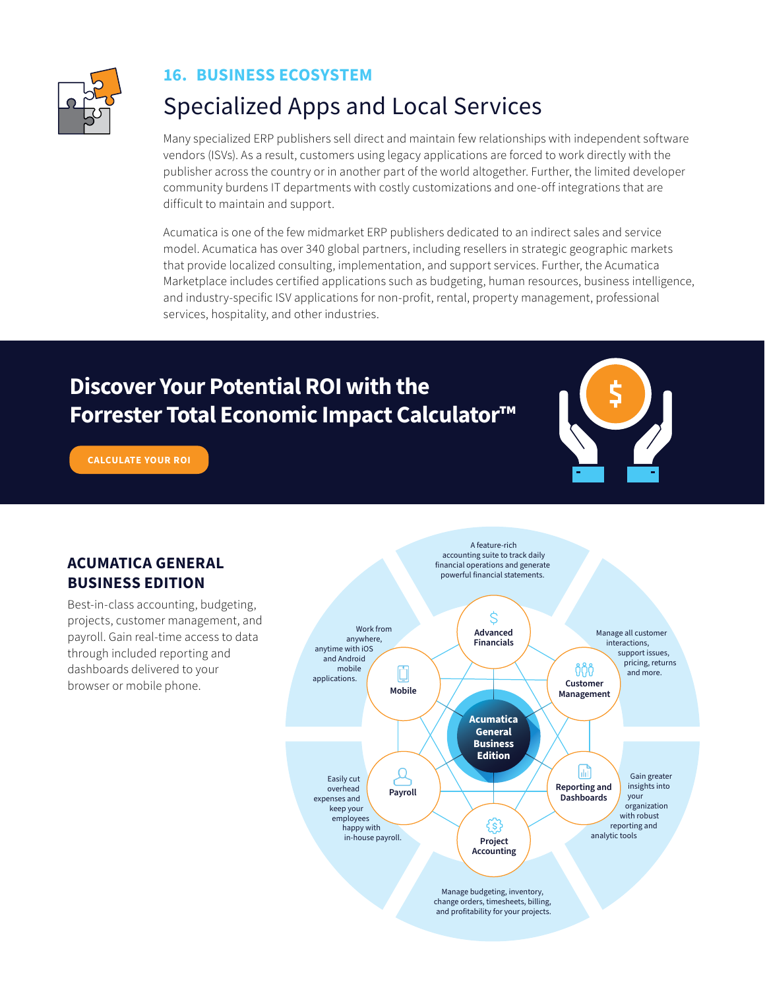<span id="page-9-0"></span>

#### **16. BUSINESS ECOSYSTEM**

### Specialized Apps and Local Services

Many specialized ERP publishers sell direct and maintain few relationships with independent software vendors (ISVs). As a result, customers using legacy applications are forced to work directly with the publisher across the country or in another part of the world altogether. Further, the limited developer community burdens IT departments with costly customizations and one-off integrations that are difficult to maintain and support.

Acumatica is one of the few midmarket ERP publishers dedicated to an indirect sales and service model. Acumatica has over 340 global partners, including resellers in strategic geographic markets that provide localized consulting, implementation, and support services. Further, the Acumatica Marketplace includes certified applications such as budgeting, human resources, business intelligence, and industry-specific ISV applications for non-profit, rental, property management, professional services, hospitality, and other industries.

### **Discover Your Potential ROI with the [Forrester Total Economic Impact Calculator™](https://tools.totaleconomicimpact.com/go/acumatica/erp/index.html?utm_source=acumatica-com&utm_medium=top-nav-image&utm_campaign=Forrester-TEI)**



**[CALCULATE YOUR ROI](https://tools.totaleconomicimpact.com/go/acumatica/erp/index.html?utm_source=acumatica-com&utm_medium=top-nav-image&utm_campaign=Forrester-TEI)**

#### **ACUMATICA GENERAL BUSINESS EDITION**

Best-in-class accounting, budgeting, projects, customer management, and payroll. Gain real-time access to data through included reporting and dashboards delivered to your browser or mobile phone.